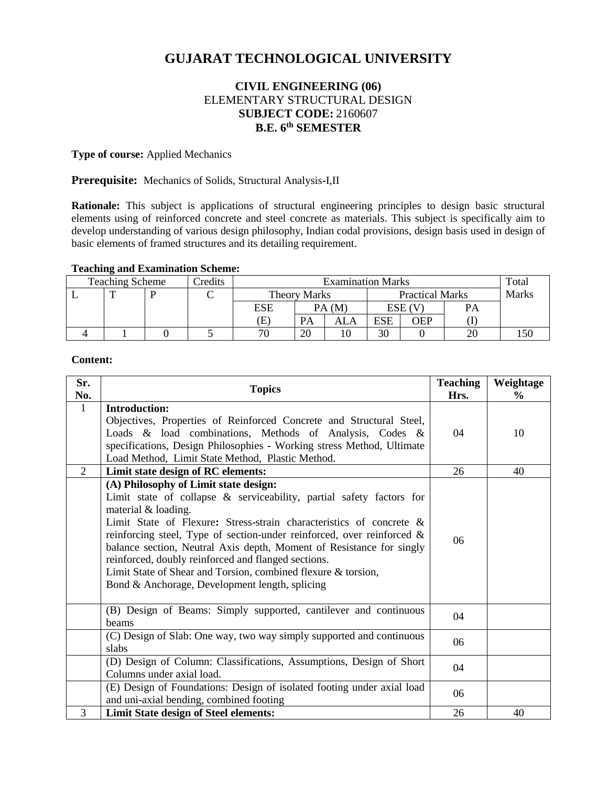# **GUJARAT TECHNOLOGICAL UNIVERSITY**

# **CIVIL ENGINEERING (06)** ELEMENTARY STRUCTURAL DESIGN **SUBJECT CODE:** 2160607 **B.E. 6 th SEMESTER**

#### **Type of course:** Applied Mechanics

#### **Prerequisite:** Mechanics of Solids, Structural Analysis-I,II

**Rationale:** This subject is applications of structural engineering principles to design basic structural elements using of reinforced concrete and steel concrete as materials. This subject is specifically aim to develop understanding of various design philosophy, Indian codal provisions, design basis used in design of basic elements of framed structures and its detailing requirement.

### **Teaching and Examination Scheme:**

| <b>Teaching Scheme</b> |  |  | Credits | <b>Examination Marks</b> |       |                        |        |     | Total        |  |
|------------------------|--|--|---------|--------------------------|-------|------------------------|--------|-----|--------------|--|
|                        |  |  |         | <b>Theory Marks</b>      |       | <b>Practical Marks</b> |        |     | <b>Marks</b> |  |
|                        |  |  |         | ESE                      | PA(M) |                        | ESE (V |     | PA           |  |
|                        |  |  |         | Œ                        | PA    | ALA                    | ESE    | OEP |              |  |
|                        |  |  |         | 70                       | 20    |                        | 30     |     | 20           |  |

#### **Content:**

| Sr.<br>No.     | <b>Topics</b>                                                                                                                                                                                                                                                                                                                                                                                                                                                                                                                                 | <b>Teaching</b><br>Hrs. | Weightage<br>$\frac{0}{0}$ |
|----------------|-----------------------------------------------------------------------------------------------------------------------------------------------------------------------------------------------------------------------------------------------------------------------------------------------------------------------------------------------------------------------------------------------------------------------------------------------------------------------------------------------------------------------------------------------|-------------------------|----------------------------|
| $\mathbf{1}$   | <b>Introduction:</b><br>Objectives, Properties of Reinforced Concrete and Structural Steel,<br>Loads & load combinations, Methods of Analysis, Codes &<br>specifications, Design Philosophies - Working stress Method, Ultimate<br>Load Method, Limit State Method, Plastic Method.                                                                                                                                                                                                                                                           | 04                      | 10                         |
| $\overline{2}$ | Limit state design of RC elements:                                                                                                                                                                                                                                                                                                                                                                                                                                                                                                            | 26                      | 40                         |
|                | (A) Philosophy of Limit state design:<br>Limit state of collapse & serviceability, partial safety factors for<br>material & loading.<br>Limit State of Flexure: Stress-strain characteristics of concrete $\&$<br>reinforcing steel, Type of section-under reinforced, over reinforced $\&$<br>balance section, Neutral Axis depth, Moment of Resistance for singly<br>reinforced, doubly reinforced and flanged sections.<br>Limit State of Shear and Torsion, combined flexure & torsion,<br>Bond & Anchorage, Development length, splicing | 06                      |                            |
|                | (B) Design of Beams: Simply supported, cantilever and continuous<br>beams                                                                                                                                                                                                                                                                                                                                                                                                                                                                     | 04                      |                            |
|                | (C) Design of Slab: One way, two way simply supported and continuous<br>slabs                                                                                                                                                                                                                                                                                                                                                                                                                                                                 | 06                      |                            |
|                | (D) Design of Column: Classifications, Assumptions, Design of Short<br>Columns under axial load.                                                                                                                                                                                                                                                                                                                                                                                                                                              | 04                      |                            |
|                | (E) Design of Foundations: Design of isolated footing under axial load<br>and uni-axial bending, combined footing                                                                                                                                                                                                                                                                                                                                                                                                                             | 06                      |                            |
| 3              | <b>Limit State design of Steel elements:</b>                                                                                                                                                                                                                                                                                                                                                                                                                                                                                                  | 26                      | 40                         |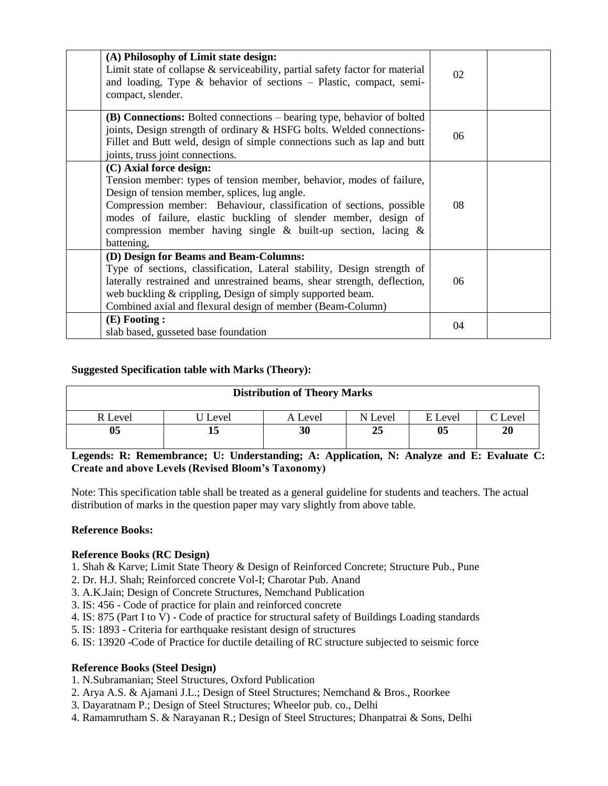| (A) Philosophy of Limit state design:<br>Limit state of collapse $\&$ serviceability, partial safety factor for material<br>and loading, Type & behavior of sections $-$ Plastic, compact, semi-<br>compact, slender.                                                                                                                                                           | 02 |  |
|---------------------------------------------------------------------------------------------------------------------------------------------------------------------------------------------------------------------------------------------------------------------------------------------------------------------------------------------------------------------------------|----|--|
| (B) Connections: Bolted connections – bearing type, behavior of bolted<br>joints, Design strength of ordinary & HSFG bolts. Welded connections-<br>Fillet and Butt weld, design of simple connections such as lap and butt<br>joints, truss joint connections.                                                                                                                  | 06 |  |
| (C) Axial force design:<br>Tension member: types of tension member, behavior, modes of failure,<br>Design of tension member, splices, lug angle.<br>Compression member: Behaviour, classification of sections, possible<br>modes of failure, elastic buckling of slender member, design of<br>compression member having single $\&$ built-up section, lacing $\&$<br>battening, | 08 |  |
| (D) Design for Beams and Beam-Columns:<br>Type of sections, classification, Lateral stability, Design strength of<br>laterally restrained and unrestrained beams, shear strength, deflection,<br>web buckling & crippling, Design of simply supported beam.<br>Combined axial and flexural design of member (Beam-Column)                                                       | 06 |  |
| $(E)$ Footing:<br>slab based, gusseted base foundation                                                                                                                                                                                                                                                                                                                          | 04 |  |

# **Suggested Specification table with Marks (Theory):**

| <b>Distribution of Theory Marks</b> |         |         |         |         |       |  |  |  |
|-------------------------------------|---------|---------|---------|---------|-------|--|--|--|
| R Level                             | J Level | A Level | N Level | E Level | Level |  |  |  |
| 05                                  | כו      | 30      | 25      | 05      | 20    |  |  |  |

**Legends: R: Remembrance; U: Understanding; A: Application, N: Analyze and E: Evaluate C: Create and above Levels (Revised Bloom's Taxonomy)**

Note: This specification table shall be treated as a general guideline for students and teachers. The actual distribution of marks in the question paper may vary slightly from above table.

#### **Reference Books:**

#### **Reference Books (RC Design)**

1. Shah & Karve; Limit State Theory & Design of Reinforced Concrete; Structure Pub., Pune

- 2. Dr. H.J. Shah; Reinforced concrete Vol-I; Charotar Pub. Anand
- 3. A.K.Jain; Design of Concrete Structures, Nemchand Publication
- 3. IS: 456 Code of practice for plain and reinforced concrete
- 4. IS: 875 (Part I to  $\hat{V}$ ) Code of practice for structural safety of Buildings Loading standards
- 5. IS: 1893 Criteria for earthquake resistant design of structures
- 6. IS: 13920 -Code of Practice for ductile detailing of RC structure subjected to seismic force

#### **Reference Books (Steel Design)**

- 1. N.Subramanian; Steel Structures, Oxford Publication
- 2. Arya A.S. & Ajamani J.L.; Design of Steel Structures; Nemchand & Bros., Roorkee
- 3. Dayaratnam P.; Design of Steel Structures; Wheelor pub. co., Delhi
- 4. Ramamrutham S. & Narayanan R.; Design of Steel Structures; Dhanpatrai & Sons, Delhi